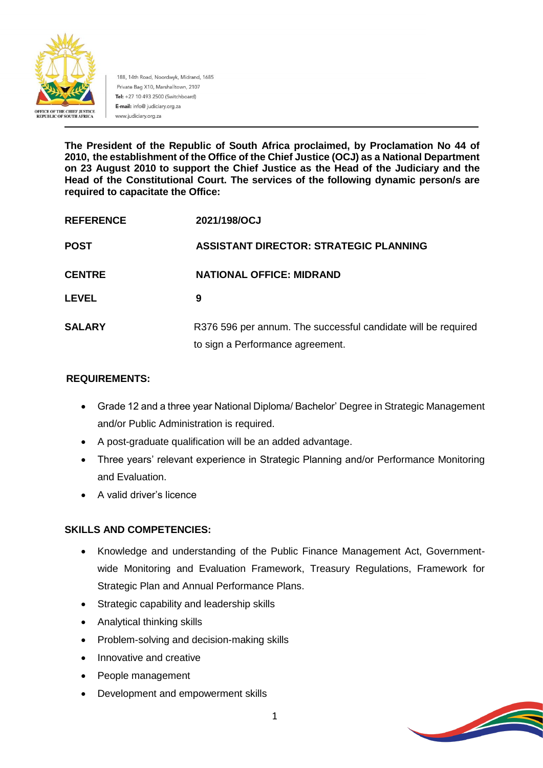

188, 14th Road, Noordwyk, Midrand, 1685 Private Bag X10, Marshalltown, 2107 Tel: +27 10 493 2500 (Switchboard) E-mail: info@ judiciary.org.za www.judiciary.org.za

**The President of the Republic of South Africa proclaimed, by Proclamation No 44 of 2010, the establishment of the Office of the Chief Justice (OCJ) as a National Department on 23 August 2010 to support the Chief Justice as the Head of the Judiciary and the Head of the Constitutional Court. The services of the following dynamic person/s are required to capacitate the Office:**

| <b>REFERENCE</b> | 2021/198/OCJ                                                  |
|------------------|---------------------------------------------------------------|
| <b>POST</b>      | <b>ASSISTANT DIRECTOR: STRATEGIC PLANNING</b>                 |
| <b>CENTRE</b>    | <b>NATIONAL OFFICE: MIDRAND</b>                               |
| <b>LEVEL</b>     | 9                                                             |
| <b>SALARY</b>    | R376 596 per annum. The successful candidate will be required |
|                  | to sign a Performance agreement.                              |

### **REQUIREMENTS:**

- Grade 12 and a three year National Diploma/ Bachelor' Degree in Strategic Management and/or Public Administration is required.
- A post-graduate qualification will be an added advantage.
- Three years' relevant experience in Strategic Planning and/or Performance Monitoring and Evaluation.
- A valid driver's licence

## **SKILLS AND COMPETENCIES:**

- Knowledge and understanding of the Public Finance Management Act, Governmentwide Monitoring and Evaluation Framework, Treasury Regulations, Framework for Strategic Plan and Annual Performance Plans.
- Strategic capability and leadership skills
- Analytical thinking skills
- Problem-solving and decision-making skills
- Innovative and creative
- People management
- Development and empowerment skills

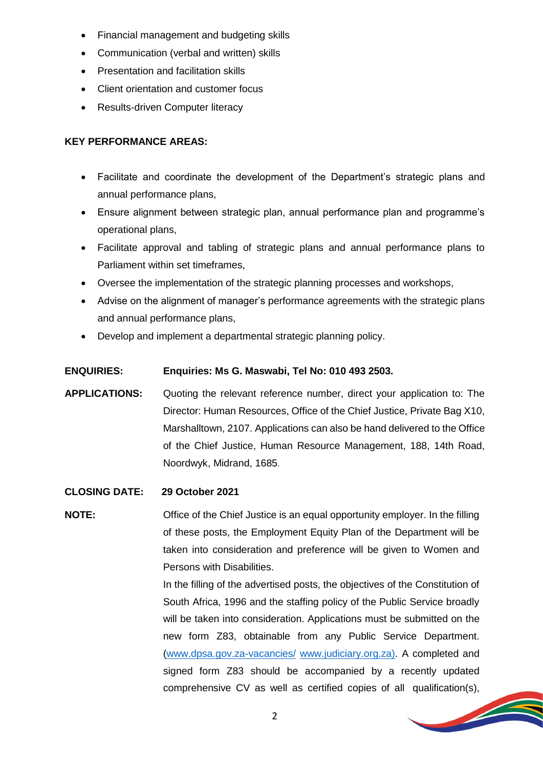- Financial management and budgeting skills
- Communication (verbal and written) skills
- Presentation and facilitation skills
- Client orientation and customer focus
- Results-driven Computer literacy

#### **KEY PERFORMANCE AREAS:**

- Facilitate and coordinate the development of the Department's strategic plans and annual performance plans,
- Ensure alignment between strategic plan, annual performance plan and programme's operational plans,
- Facilitate approval and tabling of strategic plans and annual performance plans to Parliament within set timeframes,
- Oversee the implementation of the strategic planning processes and workshops,
- Advise on the alignment of manager's performance agreements with the strategic plans and annual performance plans,
- Develop and implement a departmental strategic planning policy.

#### **ENQUIRIES: Enquiries: Ms G. Maswabi, Tel No: 010 493 2503.**

- **APPLICATIONS:** Quoting the relevant reference number, direct your application to: The Director: Human Resources, Office of the Chief Justice, Private Bag X10, Marshalltown, 2107. Applications can also be hand delivered to the Office of the Chief Justice, Human Resource Management, 188, 14th Road, Noordwyk, Midrand, 1685.
- **CLOSING DATE: 29 October 2021**

**NOTE:** Office of the Chief Justice is an equal opportunity employer. In the filling of these posts, the Employment Equity Plan of the Department will be taken into consideration and preference will be given to Women and Persons with Disabilities.

> In the filling of the advertised posts, the objectives of the Constitution of South Africa, 1996 and the staffing policy of the Public Service broadly will be taken into consideration. Applications must be submitted on the new form Z83, obtainable from any Public Service Department. [\(www.dpsa.gov.za-vacancies/](http://www.dpsa.gov.za-vacancies/) [www.judiciary.org.za\)](http://www.judiciary.org.za/). A completed and signed form Z83 should be accompanied by a recently updated comprehensive CV as well as certified copies of all qualification(s),